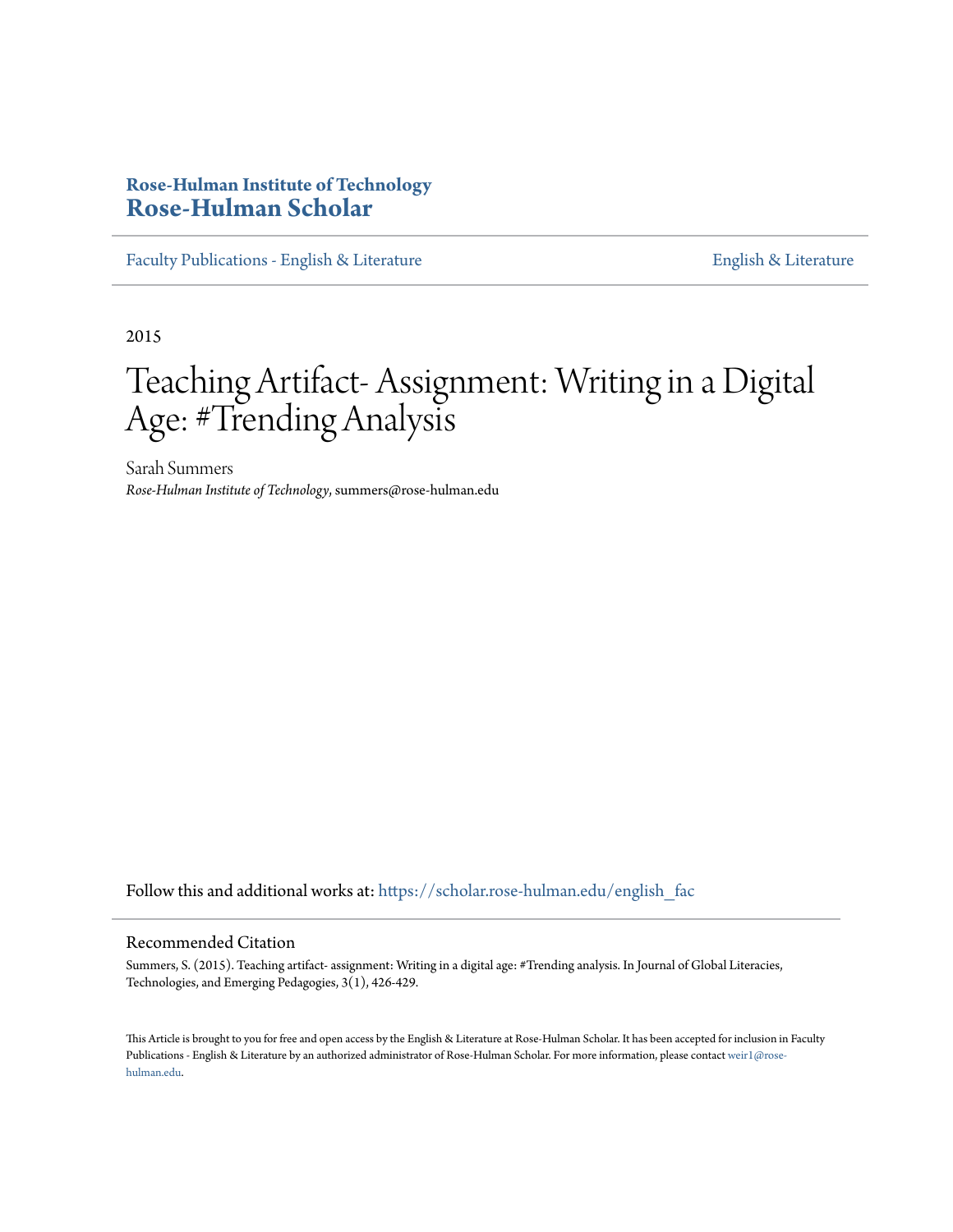# **Rose-Hulman Institute of Technology [Rose-Hulman Scholar](https://scholar.rose-hulman.edu?utm_source=scholar.rose-hulman.edu%2Fenglish_fac%2F52&utm_medium=PDF&utm_campaign=PDFCoverPages)**

[Faculty Publications - English & Literature](https://scholar.rose-hulman.edu/english_fac?utm_source=scholar.rose-hulman.edu%2Fenglish_fac%2F52&utm_medium=PDF&utm_campaign=PDFCoverPages) [English & Literature](https://scholar.rose-hulman.edu/english?utm_source=scholar.rose-hulman.edu%2Fenglish_fac%2F52&utm_medium=PDF&utm_campaign=PDFCoverPages)

2015

# Teaching Artifact- Assignment: Writing in a Digital Age: #Trending Analysis

Sarah Summers *Rose-Hulman Institute of Technology*, summers@rose-hulman.edu

Follow this and additional works at: [https://scholar.rose-hulman.edu/english\\_fac](https://scholar.rose-hulman.edu/english_fac?utm_source=scholar.rose-hulman.edu%2Fenglish_fac%2F52&utm_medium=PDF&utm_campaign=PDFCoverPages)

#### Recommended Citation

Summers, S. (2015). Teaching artifact- assignment: Writing in a digital age: #Trending analysis. In Journal of Global Literacies, Technologies, and Emerging Pedagogies, 3(1), 426-429.

This Article is brought to you for free and open access by the English & Literature at Rose-Hulman Scholar. It has been accepted for inclusion in Faculty Publications - English & Literature by an authorized administrator of Rose-Hulman Scholar. For more information, please contact [weir1@rose](mailto:weir1@rose-hulman.edu)[hulman.edu](mailto:weir1@rose-hulman.edu).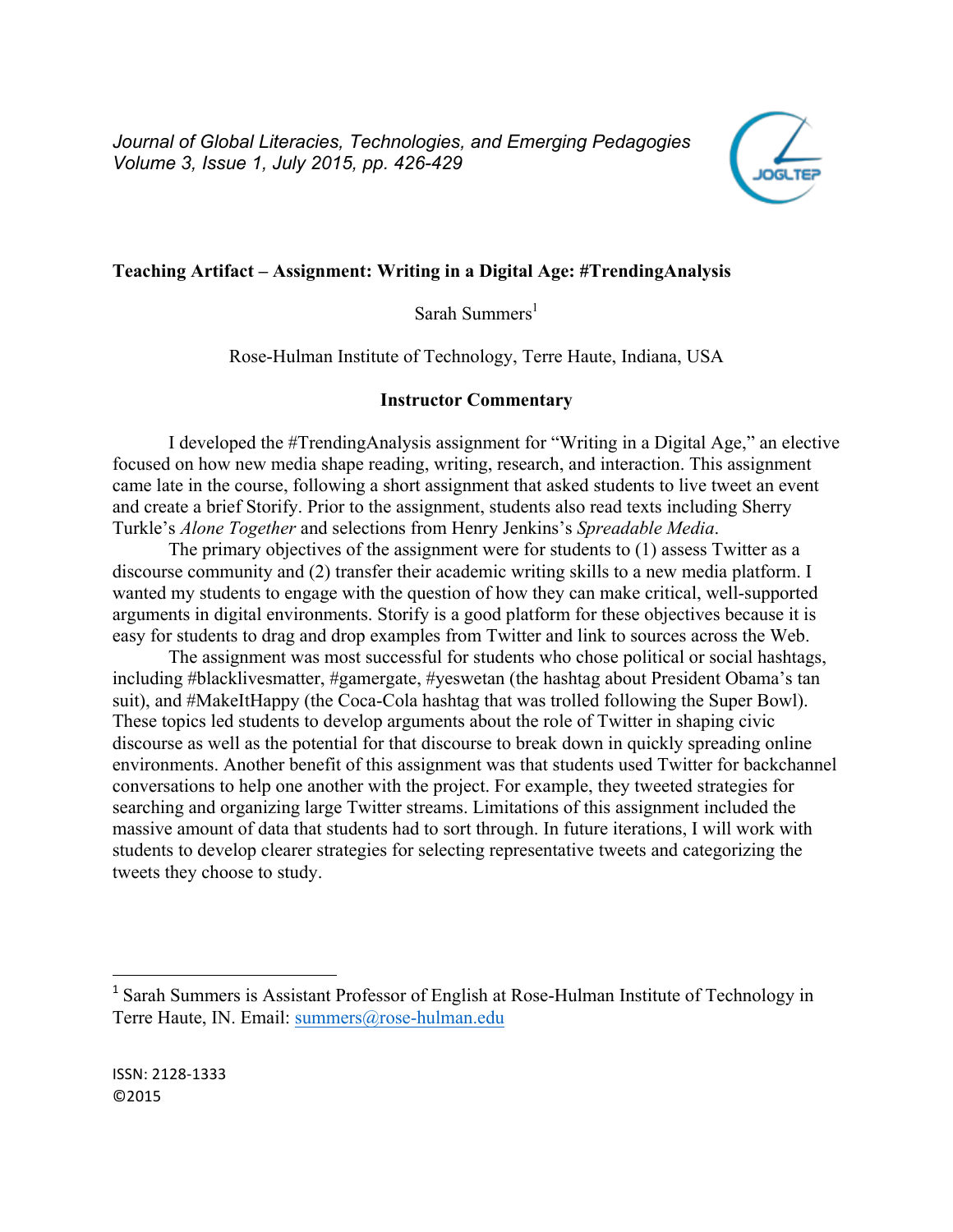*Journal of Global Literacies, Technologies, and Emerging Pedagogies Volume 3, Issue 1, July 2015, pp. 426-429*



#### **Teaching Artifact – Assignment: Writing in a Digital Age: #TrendingAnalysis**

Sarah Summers $<sup>1</sup>$ </sup>

Rose-Hulman Institute of Technology, Terre Haute, Indiana, USA

#### **Instructor Commentary**

I developed the #TrendingAnalysis assignment for "Writing in a Digital Age," an elective focused on how new media shape reading, writing, research, and interaction. This assignment came late in the course, following a short assignment that asked students to live tweet an event and create a brief Storify. Prior to the assignment, students also read texts including Sherry Turkle's *Alone Together* and selections from Henry Jenkins's *Spreadable Media*.

The primary objectives of the assignment were for students to (1) assess Twitter as a discourse community and (2) transfer their academic writing skills to a new media platform. I wanted my students to engage with the question of how they can make critical, well-supported arguments in digital environments. Storify is a good platform for these objectives because it is easy for students to drag and drop examples from Twitter and link to sources across the Web.

The assignment was most successful for students who chose political or social hashtags, including #blacklivesmatter, #gamergate, #yeswetan (the hashtag about President Obama's tan suit), and #MakeItHappy (the Coca-Cola hashtag that was trolled following the Super Bowl). These topics led students to develop arguments about the role of Twitter in shaping civic discourse as well as the potential for that discourse to break down in quickly spreading online environments. Another benefit of this assignment was that students used Twitter for backchannel conversations to help one another with the project. For example, they tweeted strategies for searching and organizing large Twitter streams. Limitations of this assignment included the massive amount of data that students had to sort through. In future iterations, I will work with students to develop clearer strategies for selecting representative tweets and categorizing the tweets they choose to study.

 

<sup>1</sup> Sarah Summers is Assistant Professor of English at Rose-Hulman Institute of Technology in Terre Haute, IN. Email: summers@rose-hulman.edu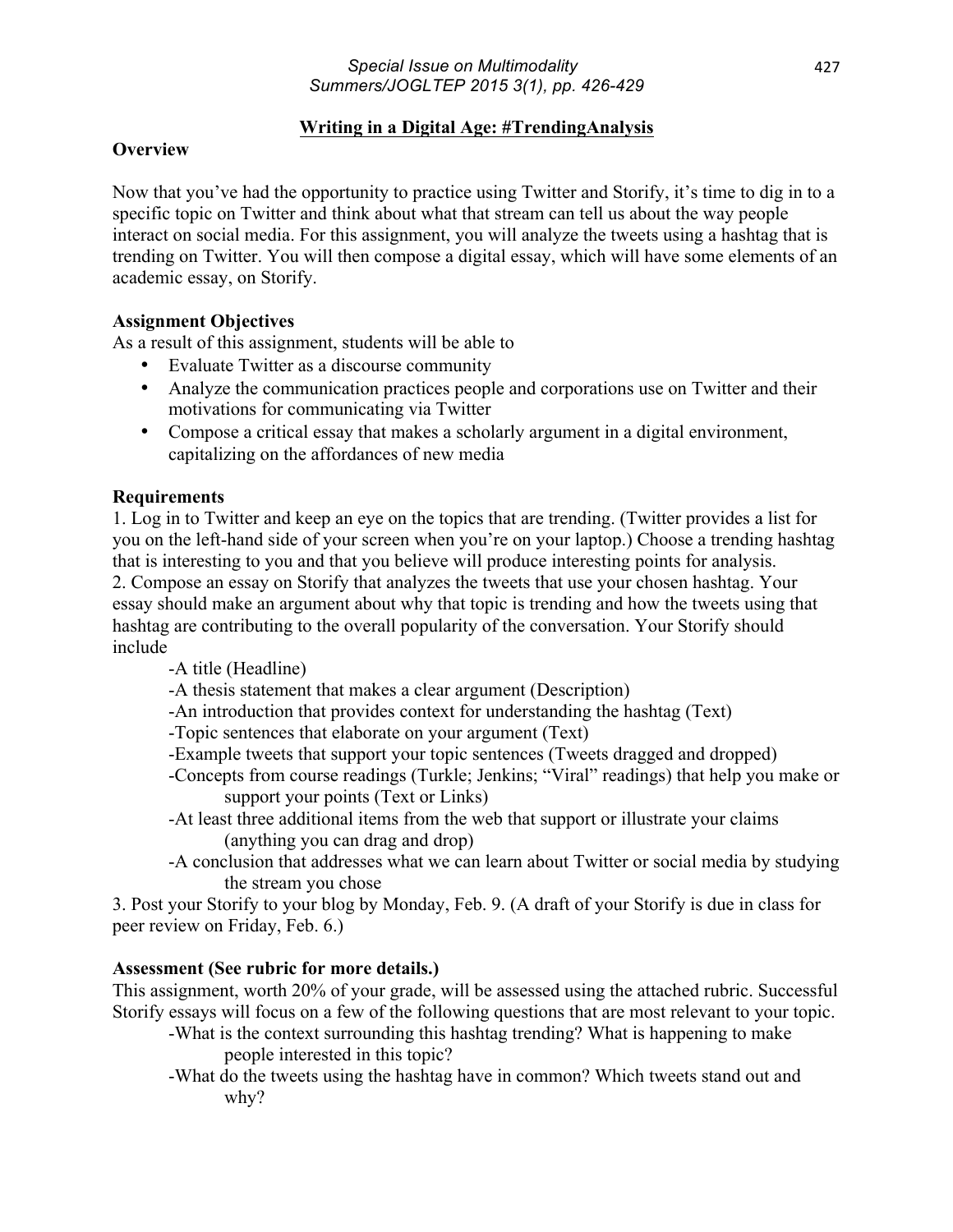# **Writing in a Digital Age: #TrendingAnalysis**

## **Overview**

Now that you've had the opportunity to practice using Twitter and Storify, it's time to dig in to a specific topic on Twitter and think about what that stream can tell us about the way people interact on social media. For this assignment, you will analyze the tweets using a hashtag that is trending on Twitter. You will then compose a digital essay, which will have some elements of an academic essay, on Storify.

# **Assignment Objectives**

As a result of this assignment, students will be able to

- Evaluate Twitter as a discourse community
- Analyze the communication practices people and corporations use on Twitter and their motivations for communicating via Twitter
- Compose a critical essay that makes a scholarly argument in a digital environment, capitalizing on the affordances of new media

# **Requirements**

1. Log in to Twitter and keep an eye on the topics that are trending. (Twitter provides a list for you on the left-hand side of your screen when you're on your laptop.) Choose a trending hashtag that is interesting to you and that you believe will produce interesting points for analysis. 2. Compose an essay on Storify that analyzes the tweets that use your chosen hashtag. Your essay should make an argument about why that topic is trending and how the tweets using that hashtag are contributing to the overall popularity of the conversation. Your Storify should include

- -A title (Headline)
- -A thesis statement that makes a clear argument (Description)
- -An introduction that provides context for understanding the hashtag (Text)
- -Topic sentences that elaborate on your argument (Text)
- -Example tweets that support your topic sentences (Tweets dragged and dropped)
- -Concepts from course readings (Turkle; Jenkins; "Viral" readings) that help you make or support your points (Text or Links)
- -At least three additional items from the web that support or illustrate your claims (anything you can drag and drop)
- -A conclusion that addresses what we can learn about Twitter or social media by studying the stream you chose

3. Post your Storify to your blog by Monday, Feb. 9. (A draft of your Storify is due in class for peer review on Friday, Feb. 6.)

# **Assessment (See rubric for more details.)**

This assignment, worth 20% of your grade, will be assessed using the attached rubric. Successful Storify essays will focus on a few of the following questions that are most relevant to your topic.

- -What is the context surrounding this hashtag trending? What is happening to make people interested in this topic?
- -What do the tweets using the hashtag have in common? Which tweets stand out and why?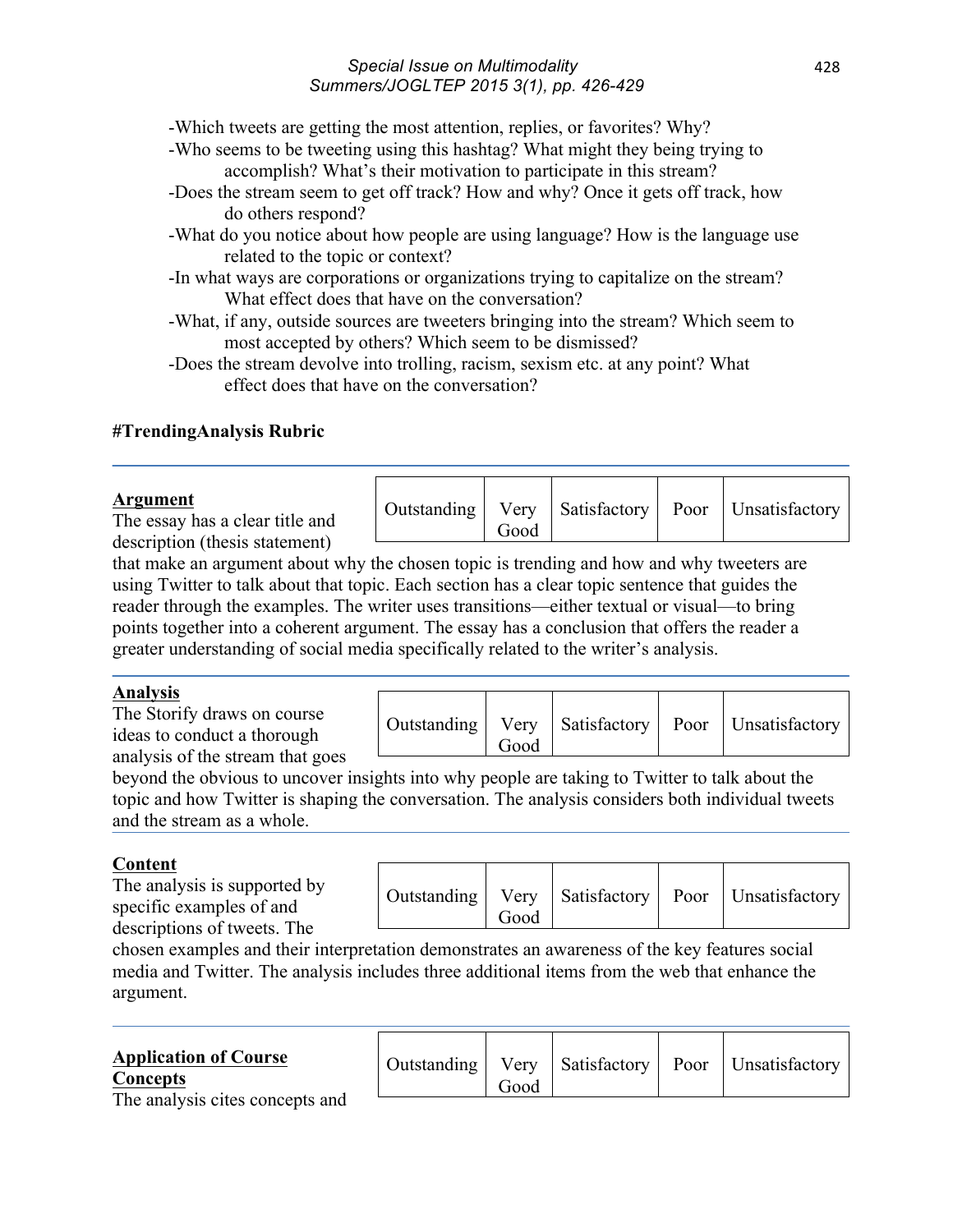#### *Special Issue on Multimodality Summers/JOGLTEP 2015 3(1), pp. 426-429*

-Which tweets are getting the most attention, replies, or favorites? Why?

- -Who seems to be tweeting using this hashtag? What might they being trying to accomplish? What's their motivation to participate in this stream?
- -Does the stream seem to get off track? How and why? Once it gets off track, how do others respond?
- -What do you notice about how people are using language? How is the language use related to the topic or context?
- -In what ways are corporations or organizations trying to capitalize on the stream? What effect does that have on the conversation?
- -What, if any, outside sources are tweeters bringing into the stream? Which seem to most accepted by others? Which seem to be dismissed?
- -Does the stream devolve into trolling, racism, sexism etc. at any point? What effect does that have on the conversation?

# **#TrendingAnalysis Rubric**

#### **Argument**

The essay has a clear title and description (thesis statement)

that make an argument about why the chosen topic is trending and how and why tweeters are using Twitter to talk about that topic. Each section has a clear topic sentence that guides the reader through the examples. The writer uses transitions—either textual or visual—to bring points together into a coherent argument. The essay has a conclusion that offers the reader a greater understanding of social media specifically related to the writer's analysis.

Outstanding | Very

Good

### **Analysis**

The Storify draws on course ideas to conduct a thorough analysis of the stream that goes

|  | Good |  |  | Outstanding   Very   Satisfactory   Poor   Unsatisfactory |
|--|------|--|--|-----------------------------------------------------------|
|--|------|--|--|-----------------------------------------------------------|

Satisfactory | Poor | Unsatisfactory

beyond the obvious to uncover insights into why people are taking to Twitter to talk about the topic and how Twitter is shaping the conversation. The analysis considers both individual tweets and the stream as a whole.

# **Content**

The analysis is supported by specific examples of and descriptions of tweets. The

| Good |  | Outstanding   Very   Satisfactory   Poor   Unsatisfactory |
|------|--|-----------------------------------------------------------|

chosen examples and their interpretation demonstrates an awareness of the key features social media and Twitter. The analysis includes three additional items from the web that enhance the argument.

| <b>Application of Course</b><br><b>Concepts</b> | Outstanding | Good |  | Very Satisfactory Poor Unsatisfactory |
|-------------------------------------------------|-------------|------|--|---------------------------------------|
| The analysis cites concepts and                 |             |      |  |                                       |